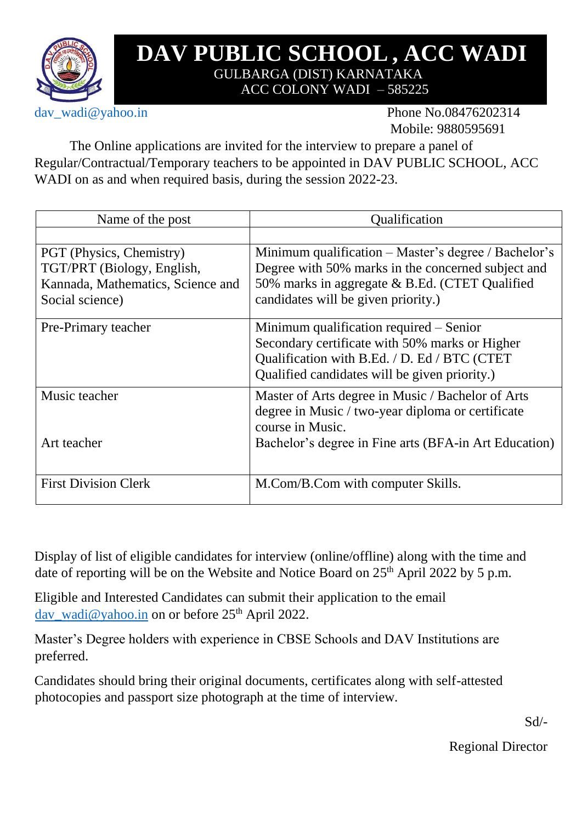

## **DAV PUBLIC SCHOOL, ACC WADI**  GULBARGA (DIST) KARNATAKA ACC COLONY WADI – 585225

dav\_wadi@yahoo.in Phone No.08476202314 Mobile: 9880595691

The Online applications are invited for the interview to prepare a panel of Regular/Contractual/Temporary teachers to be appointed in DAV PUBLIC SCHOOL, ACC WADI on as and when required basis, during the session 2022-23.

| Name of the post                  | Qualification                                         |  |  |  |  |
|-----------------------------------|-------------------------------------------------------|--|--|--|--|
|                                   |                                                       |  |  |  |  |
| PGT (Physics, Chemistry)          | Minimum qualification – Master's degree / Bachelor's  |  |  |  |  |
| TGT/PRT (Biology, English,        | Degree with 50% marks in the concerned subject and    |  |  |  |  |
| Kannada, Mathematics, Science and | 50% marks in aggregate & B.Ed. (CTET Qualified        |  |  |  |  |
| Social science)                   | candidates will be given priority.)                   |  |  |  |  |
| Pre-Primary teacher               | Minimum qualification required – Senior               |  |  |  |  |
|                                   | Secondary certificate with 50% marks or Higher        |  |  |  |  |
|                                   | Qualification with B.Ed. / D. Ed / BTC (CTET)         |  |  |  |  |
|                                   | Qualified candidates will be given priority.)         |  |  |  |  |
| Music teacher                     | Master of Arts degree in Music / Bachelor of Arts     |  |  |  |  |
|                                   | degree in Music / two-year diploma or certificate     |  |  |  |  |
|                                   | course in Music.                                      |  |  |  |  |
| Art teacher                       | Bachelor's degree in Fine arts (BFA-in Art Education) |  |  |  |  |
|                                   |                                                       |  |  |  |  |
| <b>First Division Clerk</b>       | M.Com/B.Com with computer Skills.                     |  |  |  |  |
|                                   |                                                       |  |  |  |  |

Display of list of eligible candidates for interview (online/offline) along with the time and date of reporting will be on the Website and Notice Board on  $25<sup>th</sup>$  April 2022 by 5 p.m.

Eligible and Interested Candidates can submit their application to the email dav\_wadi@yahoo.in on or before 25<sup>th</sup> April 2022.

Master's Degree holders with experience in CBSE Schools and DAV Institutions are preferred.

Candidates should bring their original documents, certificates along with self-attested photocopies and passport size photograph at the time of interview.

Sd/-

Regional Director